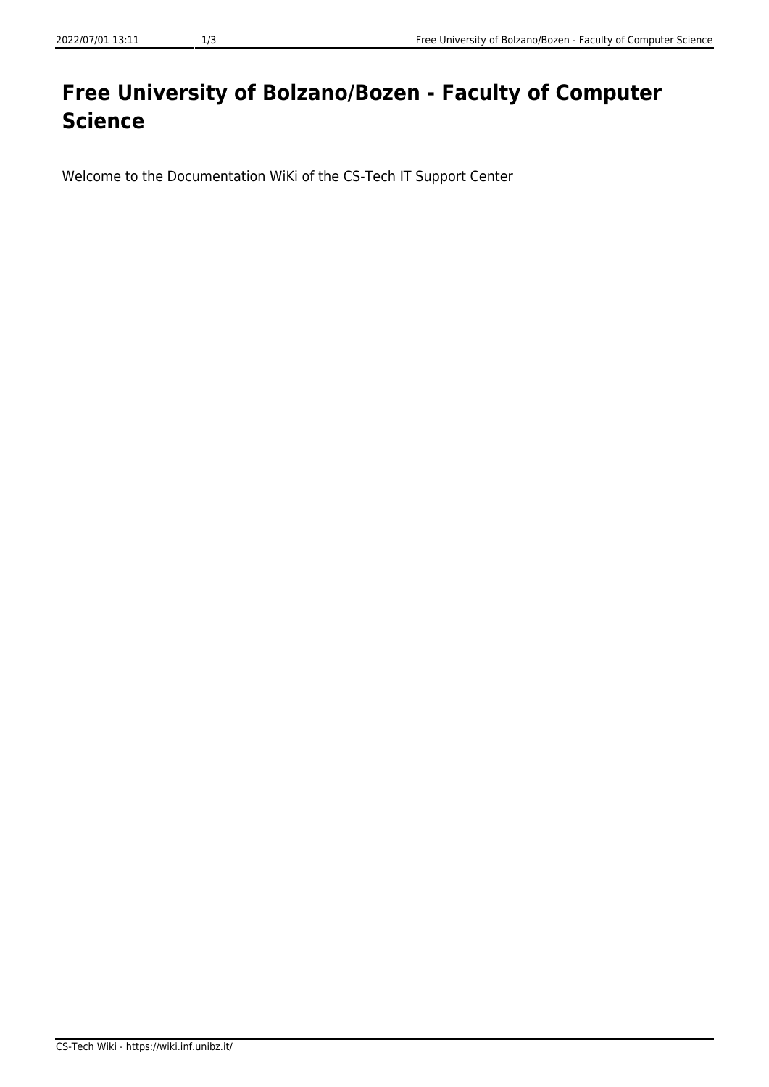## **Free University of Bolzano/Bozen - Faculty of Computer Science**

Welcome to the Documentation WiKi of the CS-Tech IT Support Center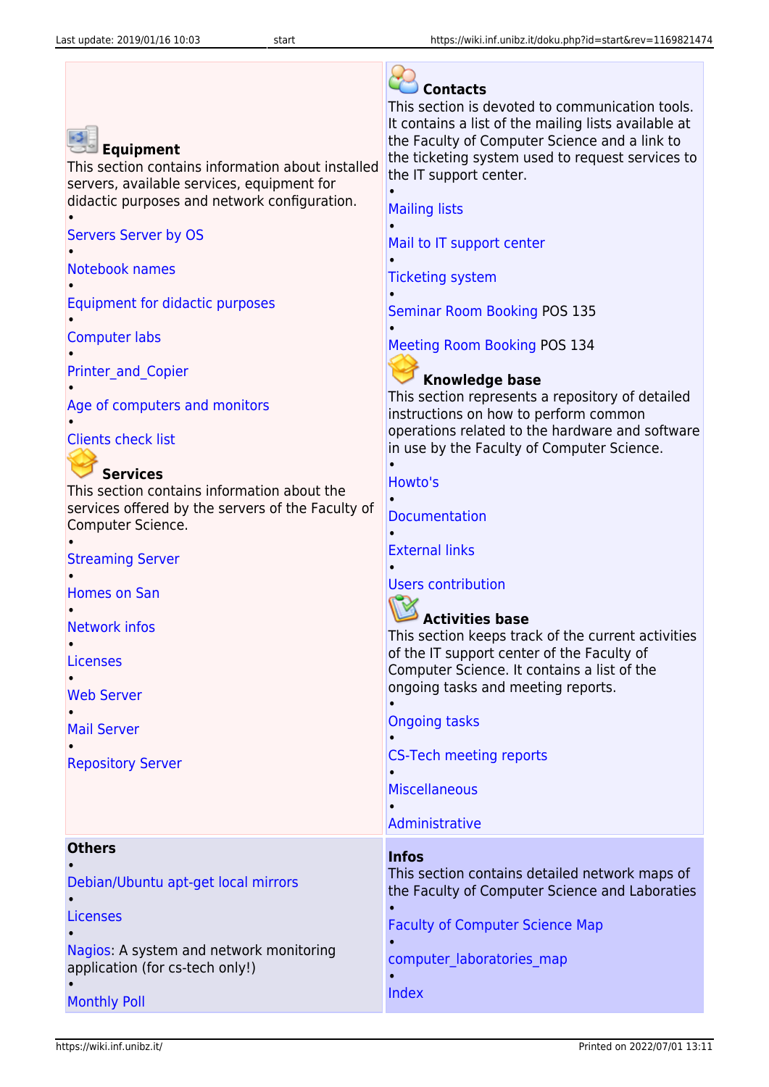| <b>Equipment</b><br>This section contains information about installed<br>servers, available services, equipment for<br>didactic purposes and network configuration.<br><b>Servers Server by OS</b><br>Notebook names<br>Equipment for didactic purposes<br><b>Computer labs</b><br><b>Printer and Copier</b><br>Age of computers and monitors<br><b>Clients check list</b><br><b>Services</b><br>This section contains information about the<br>services offered by the servers of the Faculty of<br>Computer Science.<br><b>Streaming Server</b><br><b>Homes on San</b><br><b>Network infos</b><br>$\bullet$<br>Licenses<br><b>Web Server</b><br><b>Mail Server</b><br><b>Repository Server</b> | <b>Contacts</b><br>This section is devoted to communication tools.<br>It contains a list of the mailing lists available at<br>the Faculty of Computer Science and a link to<br>the ticketing system used to request services to<br>the IT support center.<br><b>Mailing lists</b><br>Mail to IT support center<br><b>Ticketing system</b><br><b>Seminar Room Booking POS 135</b><br><b>Meeting Room Booking POS 134</b><br><b>Knowledge base</b><br>This section represents a repository of detailed<br>instructions on how to perform common<br>operations related to the hardware and software<br>in use by the Faculty of Computer Science.<br>Howto's<br><b>Documentation</b><br><b>External links</b><br><b>Users contribution</b><br><b>Activities base</b><br>This section keeps track of the current activities<br>of the IT support center of the Faculty of<br>Computer Science. It contains a list of the<br>ongoing tasks and meeting reports.<br><b>Ongoing tasks</b><br><b>CS-Tech meeting reports</b><br><b>Miscellaneous</b> |
|--------------------------------------------------------------------------------------------------------------------------------------------------------------------------------------------------------------------------------------------------------------------------------------------------------------------------------------------------------------------------------------------------------------------------------------------------------------------------------------------------------------------------------------------------------------------------------------------------------------------------------------------------------------------------------------------------|----------------------------------------------------------------------------------------------------------------------------------------------------------------------------------------------------------------------------------------------------------------------------------------------------------------------------------------------------------------------------------------------------------------------------------------------------------------------------------------------------------------------------------------------------------------------------------------------------------------------------------------------------------------------------------------------------------------------------------------------------------------------------------------------------------------------------------------------------------------------------------------------------------------------------------------------------------------------------------------------------------------------------------------------|
|                                                                                                                                                                                                                                                                                                                                                                                                                                                                                                                                                                                                                                                                                                  | Administrative                                                                                                                                                                                                                                                                                                                                                                                                                                                                                                                                                                                                                                                                                                                                                                                                                                                                                                                                                                                                                               |
| <b>Others</b><br>Debian/Ubuntu apt-get local mirrors<br><b>Licenses</b><br>Nagios: A system and network monitoring<br>application (for cs-tech only!)                                                                                                                                                                                                                                                                                                                                                                                                                                                                                                                                            | <b>Infos</b><br>This section contains detailed network maps of<br>the Faculty of Computer Science and Laboraties<br><b>Faculty of Computer Science Map</b><br>computer laboratories map<br>Index                                                                                                                                                                                                                                                                                                                                                                                                                                                                                                                                                                                                                                                                                                                                                                                                                                             |
| <b>Monthly Poll</b>                                                                                                                                                                                                                                                                                                                                                                                                                                                                                                                                                                                                                                                                              |                                                                                                                                                                                                                                                                                                                                                                                                                                                                                                                                                                                                                                                                                                                                                                                                                                                                                                                                                                                                                                              |